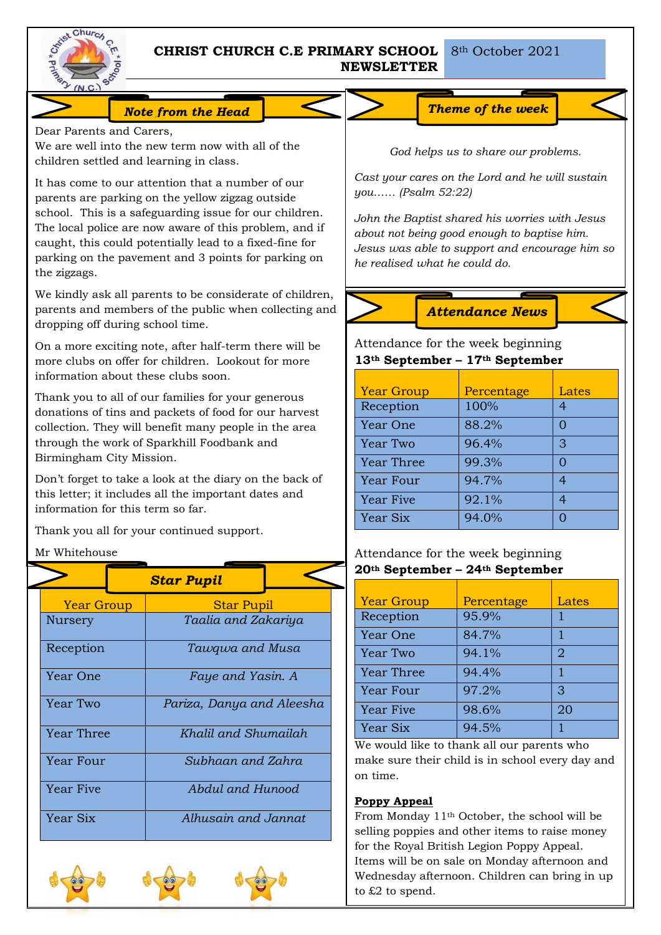

# **CHRIST CHURCH C.E PRIMARY SCHOOL NEWSLETTER**

# *Note from the Head Theme of the week*

Dear Parents and Carers,

We are well into the new term now with all of the children settled and learning in class.

It has come to our attention that a number of our parents are parking on the yellow zigzag outside school. This is a safeguarding issue for our children. The local police are now aware of this problem, and if caught, this could potentially lead to a fixed-fine for parking on the pavement and 3 points for parking on the zigzags.

We kindly ask all parents to be considerate of children, parents and members of the public when collecting and dropping off during school time.

On a more exciting note, after half-term there will be more clubs on offer for children. Lookout for more information about these clubs soon.

Thank you to all of our families for your generous donations of tins and packets of food for our harvest collection. They will benefit many people in the area through the work of Sparkhill Foodbank and Birmingham City Mission.

Don't forget to take a look at the diary on the back of this letter; it includes all the important dates and information for this term so far.

Thank you all for your continued support.

# Mr Whitehouse

|  |                                                                                  |  | <b>Star Pupil</b>         |  |  |
|--|----------------------------------------------------------------------------------|--|---------------------------|--|--|
|  | <b>Year Group</b>                                                                |  | <b>Star Pupil</b>         |  |  |
|  | Nursery                                                                          |  | Taalia and Zakariya       |  |  |
|  | Reception<br>Year One<br>Year Two<br>Year Three<br>Year Four<br><b>Year Five</b> |  | Tawqwa and Musa           |  |  |
|  |                                                                                  |  | Faye and Yasin. A         |  |  |
|  |                                                                                  |  | Pariza, Danya and Aleesha |  |  |
|  |                                                                                  |  | Khalil and Shumailah      |  |  |
|  |                                                                                  |  | Subhaan and Zahra         |  |  |
|  |                                                                                  |  | Abdul and Hunood          |  |  |
|  | Year Six                                                                         |  | Alhusain and Jannat       |  |  |





*God helps us to share our problems.*

*Cast your cares on the Lord and he will sustain you…… (Psalm 52:22)*

*John the Baptist shared his worries with Jesus about not being good enough to baptise him. Jesus was able to support and encourage him so he realised what he could do.*

*Attendance News*

# Attendance for the week beginning **13th September – 17th September**

| <b>Year Group</b> | Percentage | Lates |
|-------------------|------------|-------|
| Reception         | 100%       |       |
| Year One          | 88.2%      |       |
| Year Two          | 96.4%      | З     |
| <b>Year Three</b> | 99.3%      |       |
| Year Four         | 94.7%      |       |
| <b>Year Five</b>  | 92.1%      |       |
| Year Six          | 94.0%      |       |

# Attendance for the week beginning **20th September – 24th September**

| <b>Year Group</b> | Percentage | Lates          |
|-------------------|------------|----------------|
| Reception         | 95.9%      |                |
| Year One          | 84.7%      |                |
| Year Two          | 94.1%      | $\overline{2}$ |
| <b>Year Three</b> | 94.4%      | 1              |
| Year Four         | 97.2%      | 3              |
| <b>Year Five</b>  | 98.6%      | 20             |
| Year Six          | 94.5%      |                |

We would like to thank all our parents who make sure their child is in school every day and on time.

# **Poppy Appeal**

From Monday 11th October, the school will be selling poppies and other items to raise money for the Royal British Legion Poppy Appeal. Items will be on sale on Monday afternoon and Wednesday afternoon. Children can bring in up to £2 to spend.